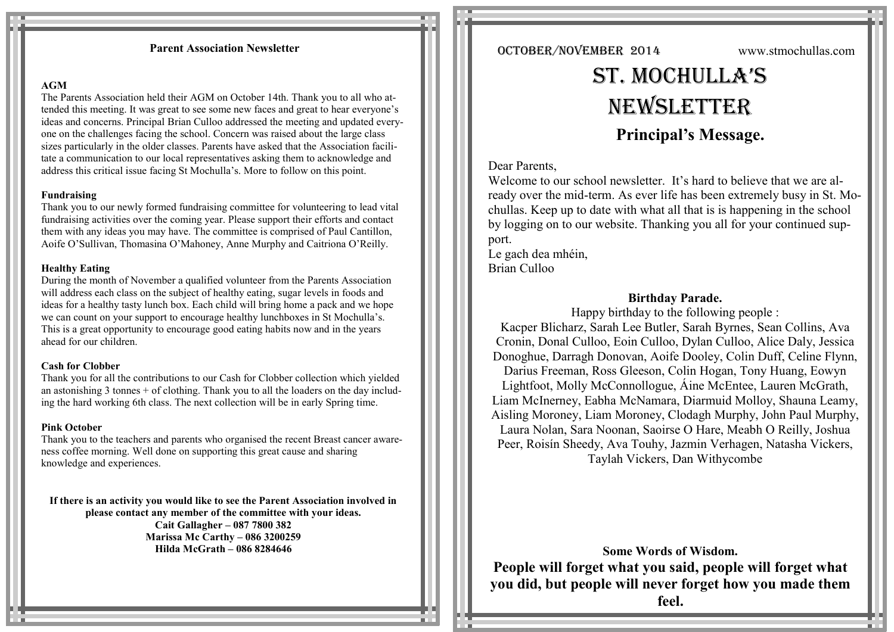# **Parent Association Newsletter**

### **AGM**

The Parents Association held their AGM on October 14th. Thank you to all who attended this meeting. It was great to see some new faces and great to hear everyone's ideas and concerns. Principal Brian Culloo addressed the meeting and updated everyone on the challenges facing the school. Concern was raised about the large class sizes particularly in the older classes. Parents have asked that the Association facilitate a communication to our local representatives asking them to acknowledge and address this critical issue facing St Mochulla's. More to follow on this point.

#### **Fundraising**

Thank you to our newly formed fundraising committee for volunteering to lead vital fundraising activities over the coming year. Please support their efforts and contact them with any ideas you may have. The committee is comprised of Paul Cantillon, Aoife O'Sullivan, Thomasina O'Mahoney, Anne Murphy and Caitriona O'Reilly.

#### **Healthy Eating**

During the month of November a qualified volunteer from the Parents Association will address each class on the subject of healthy eating, sugar levels in foods and ideas for a healthy tasty lunch box. Each child will bring home a pack and we hope we can count on your support to encourage healthy lunchboxes in St Mochulla's. This is a great opportunity to encourage good eating habits now and in the years ahead for our children.

# **Cash for Clobber**

Thank you for all the contributions to our Cash for Clobber collection which yielded an astonishing 3 tonnes + of clothing. Thank you to all the loaders on the day including the hard working 6th class. The next collection will be in early Spring time.

# **Pink October**

Thank you to the teachers and parents who organised the recent Breast cancer awareness coffee morning. Well done on supporting this great cause and sharing knowledge and experiences.

**If there is an activity you would like to see the Parent Association involved in please contact any member of the committee with your ideas. Cait Gallagher – 087 7800 382 Marissa Mc Carthy – 086 3200259 Hilda McGrath – 086 8284646**

OCTOBER/NOVEMBER 2014 www.stmochullas.com

# St. Mochulla'S **NEWSLETTER Principal's Message.**

# Dear Parents,

Welcome to our school newsletter. It's hard to believe that we are already over the mid-term. As ever life has been extremely busy in St. Mochullas. Keep up to date with what all that is is happening in the school by logging on to our website. Thanking you all for your continued support.

Le gach dea mhéin, Brian Culloo

# **Birthday Parade.**

Happy birthday to the following people : Kacper Blicharz, Sarah Lee Butler, Sarah Byrnes, Sean Collins, Ava Cronin, Donal Culloo, Eoin Culloo, Dylan Culloo, Alice Daly, Jessica Donoghue, Darragh Donovan, Aoife Dooley, Colin Duff, Celine Flynn, Darius Freeman, Ross Gleeson, Colin Hogan, Tony Huang, Eowyn Lightfoot, Molly McConnollogue, Áine McEntee, Lauren McGrath, Liam McInerney, Eabha McNamara, Diarmuid Molloy, Shauna Leamy, Aisling Moroney, Liam Moroney, Clodagh Murphy, John Paul Murphy, Laura Nolan, Sara Noonan, Saoirse O Hare, Meabh O Reilly, Joshua Peer, Roisín Sheedy, Ava Touhy, Jazmin Verhagen, Natasha Vickers, Taylah Vickers, Dan Withycombe

**Some Words of Wisdom. People will forget what you said, people will forget what you did, but people will never forget how you made them feel.**